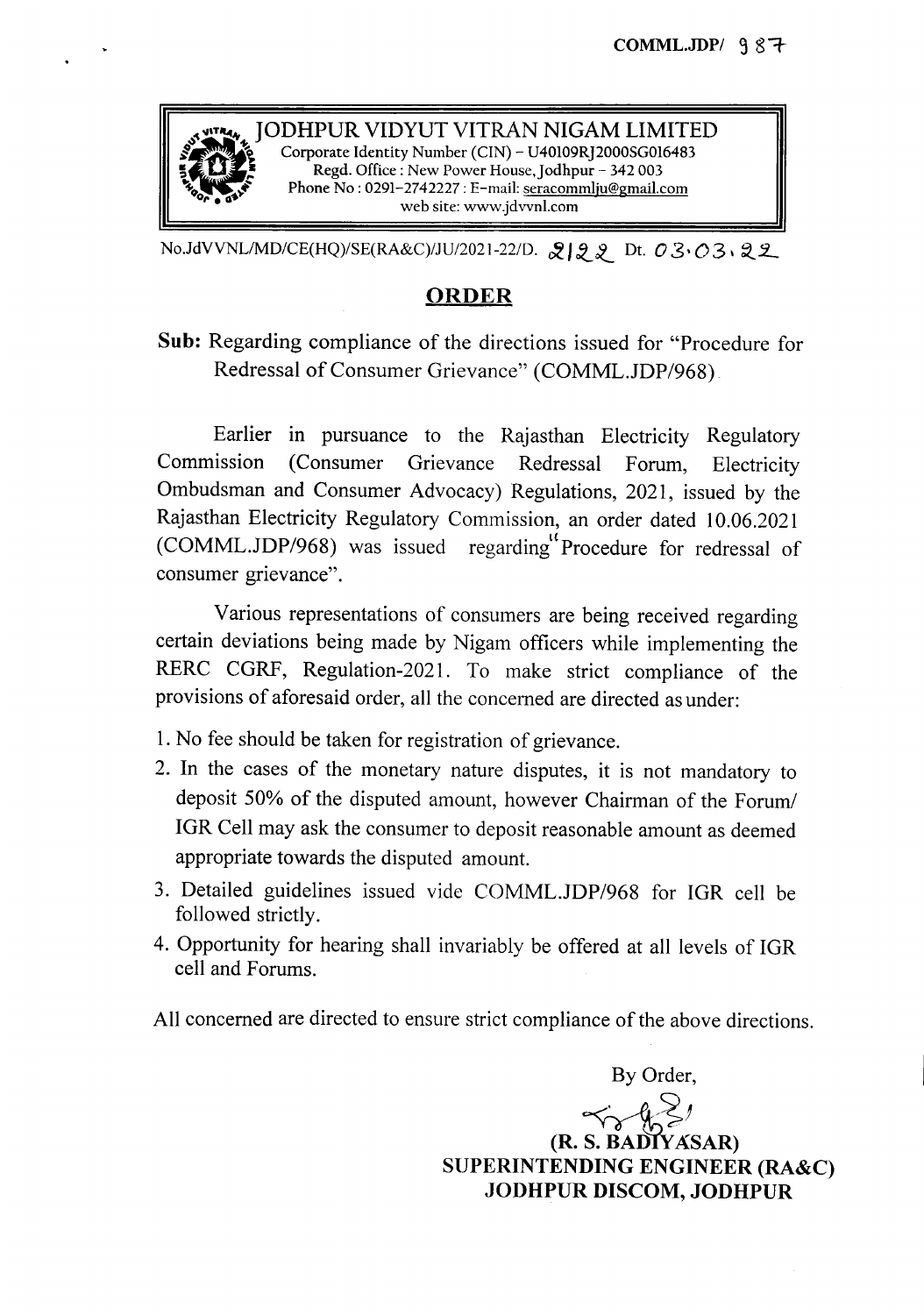

No.JdVVNL/MD/CE(HQ)/SE(RA&C)/JU/2021-22/D. 22 Dt. 03.03,22

## ORDER

Sub: Regarding compliance of the directions issued for "Procedure for Redressal of Consumer Grievance" (COMML.JDP/968)

Earlier in pursuance to the Rajasthan Electricity Regulatory Commission (Consumer Grievance Redressal Forum, Electricity Ombudsman and Consumer Advocacy) Regulations, 2021, issued by the Rajasthan Electricity Regulatory Commission, an order dated 10.06.2021 (COMML.JDP/968) was issued regarding<sup>"</sup>Procedure for redressal of consumer grievance".

Various representations of consumers are being received regarding certain deviations being made by Nigam officers while implementing the RERC CGRF, Regulation-2021. To make strict compliance of the provisions of aforesaid order, all the concerned are directed as under:

- 1.No fee should be taken for registration of grievance.
- 2. In the cases of the monetary nature disputes, it is not mandatory to deposit 50% of the disputed amount, however Chairman of the Forum/ IGR Cell may ask the consumer to deposit reasonable amount as deemed appropriate towards the disputed amount.
- 3. Detailed guidelines issued vide COMML.JDP/968 for IGR cell be followed strictly.
- 4. Opportunity for hearing shall invariably be offered at all levels of IGR cell and Forums.

All concerned are directed to ensure strict compliance of the above directions.

By Order,

 $\prec_\gamma$ (R. S. BADIYASAR) SUPERINTENDING ENGINEER (RA&C) JODHPUR DISCOM, JODHPUR